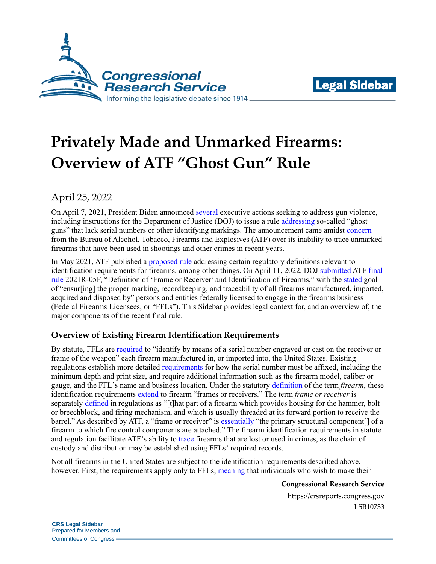



# **Privately Made and Unmarked Firearms: Overview of ATF "Ghost Gun" Rule**

## April 25, 2022

On April 7, 2021, President Biden announced [several](https://crsreports.congress.gov/product/pdf/LSB/LSB10592) executive actions seeking to address gun violence, including instructions for the Department of Justice (DOJ) to issue a rule [addressing](https://crsreports.congress.gov/product/pdf/R/R46958#_Toc86929712) so-called "ghost guns" that lack serial numbers or other identifying markings. The announcement came amidst [concern](https://crsreports.congress.gov/product/pdf/IF/IF11810) from the Bureau of Alcohol, Tobacco, Firearms and Explosives (ATF) over its inability to trace unmarked firearms that have been used in shootings and other crimes in recent years.

In May 2021, ATF published a [proposed rule](https://www.federalregister.gov/documents/2021/05/21/2021-10058/definition-of-frame-or-receiver-and-identification-of-firearms) addressing certain regulatory definitions relevant to identification requirements for firearms, among other things. On April 11, 2022, DOJ [submitted](https://www.usatoday.com/story/opinion/contributors/2022/04/11/ghost-gun-kits-firearms-doj-biden-atf-regulate/9515500002/) ATF [final](https://www.atf.gov/firearms/docs/rulemaking/final-rule-2021r-05f-definition-frame-or-receiver-and-identification/download)  [rule](https://www.atf.gov/firearms/docs/rulemaking/final-rule-2021r-05f-definition-frame-or-receiver-and-identification/download) 2021R-05F, "Definition of 'Frame or Receiver' and Identification of Firearms," with the [stated](https://www.atf.gov/rules-and-regulations/definition-frame-or-receiver) goal of "ensur[ing] the proper marking, recordkeeping, and traceability of all firearms manufactured, imported, acquired and disposed by" persons and entities federally licensed to engage in the firearms business (Federal Firearms Licensees, or "FFLs"). This Sidebar provides legal context for, and an overview of, the major components of the recent final rule.

## **Overview of Existing Firearm Identification Requirements**

By statute, FFLs are [required](https://uscode.house.gov/view.xhtml?req=granuleid:USC-prelim-title18-section923&num=0&edition=prelim) to "identify by means of a serial number engraved or cast on the receiver or frame of the weapon" each firearm manufactured in, or imported into, the United States. Existing regulations establish more detailed [requirements](https://www.ecfr.gov/current/title-27/chapter-II/subchapter-B/part-478/subpart-F/section-478.92) for how the serial number must be affixed, including the minimum depth and print size, and require additional information such as the firearm model, caliber or gauge, and the FFL's name and business location. Under the statutory [definition](https://uscode.house.gov/view.xhtml?req=granuleid:USC-prelim-title18-section921&num=0&edition=prelim) of the term *firearm*, these identification requirements [extend](https://www.ecfr.gov/current/title-27/chapter-II/subchapter-B/part-478/subpart-F/section-478.92) to firearm "frames or receivers." The term *frame or receiver* is separately [defined](https://www.ecfr.gov/current/title-27/chapter-II/subchapter-B/part-478/subpart-B/section-478.11) in regulations as "[t]hat part of a firearm which provides housing for the hammer, bolt or breechblock, and firing mechanism, and which is usually threaded at its forward portion to receive the barrel." As described by ATF, a "frame or receiver" is [essentially](https://www.atf.gov/firearms/docs/rulemaking/final-rule-2021r-05f-definition-frame-or-receiver-and-identification/download#page=13) "the primary structural component[] of a firearm to which fire control components are attached." The firearm identification requirements in statute and regulation facilitate ATF's ability to [trace](https://www.atf.gov/firearms/national-tracing-center) firearms that are lost or used in crimes, as the chain of custody and distribution may be established using FFLs' required records.

Not all firearms in the United States are subject to the identification requirements described above, however. First, the requirements apply only to FFLs, [meaning](https://www.atf.gov/firearms/qa/does-individual-need-license-make-firearm-personal-use) that individuals who wish to make their

#### **Congressional Research Service**

https://crsreports.congress.gov LSB10733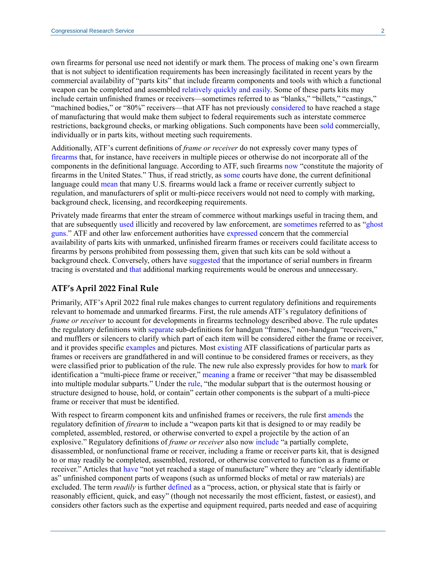own firearms for personal use need not identify or mark them. The process of making one's own firearm that is not subject to identification requirements has been increasingly facilitated in recent years by the commercial availability of "parts kits" that include firearm components and tools with which a functional weapon can be completed and assembled [relatively quickly and easily.](https://www.whitehouse.gov/briefing-room/statements-releases/2022/04/11/fact-sheet-the-biden-administration-cracks-down-on-ghost-guns-ensures-that-atf-has-the-leadership-it-needs-to-enforce-our-gun-laws/) Some of these parts kits may include certain unfinished frames or receivers—sometimes referred to as "blanks," "billets," "castings," "machined bodies," or "80%" receivers—that ATF has not previously [considered](https://www.atf.gov/firearms/qa/are-%E2%80%9C80%E2%80%9D-or-%E2%80%9Cunfinished%E2%80%9D-receivers-illegal) to have reached a stage of manufacturing that would make them subject to federal requirements such as interstate commerce restrictions, background checks, or marking obligations. Such components have been [sold](https://www.heritage.org/firearms/commentary/breaking-down-bidens-proposed-ghost-gun-rules) commercially, individually or in parts kits, without meeting such requirements.

Additionally, ATF's current definitions of *frame or receiver* do not expressly cover many types of [firearms](https://www.atf.gov/firearms/docs/rulemaking/final-rule-2021r-05f-definition-frame-or-receiver-and-identification/download#page=14) that, for instance, have receivers in multiple pieces or otherwise do not incorporate all of the components in the definitional language. According to ATF, such firearms [now](https://www.atf.gov/firearms/docs/rulemaking/final-rule-2021r-05f-definition-frame-or-receiver-and-identification/download#page=14) "constitute the majority of firearms in the United States." Thus, if read strictly, as [some](https://scholar.google.com/scholar_case?case=14805641278209850068&q=191+F.+Supp.+3d+1038&hl=en&as_sdt=20006) courts have done, the current definitional language could [mean](https://www.atf.gov/firearms/docs/rulemaking/final-rule-2021r-05f-definition-frame-or-receiver-and-identification/download#page=16) that many U.S. firearms would lack a frame or receiver currently subject to regulation, and manufacturers of split or multi-piece receivers would not need to comply with marking, background check, licensing, and recordkeeping requirements.

Privately made firearms that enter the stream of commerce without markings useful in tracing them, and that are subsequently [used](https://www.atf.gov/firearms/qa/can-functioning-firearms-made-receiver-blanks-be-traced) illicitly and recovered by law enforcement, are [sometimes](https://www.atf.gov/news/pr/rhode-island-man-charged-building-selling-ghost-machine-gun) referred to as ["ghost](https://www.latimes.com/local/lanow/la-me-la-gangsters-homemade-guns-20180706-story.html)  [guns.](https://www.latimes.com/local/lanow/la-me-la-gangsters-homemade-guns-20180706-story.html)" ATF and other law enforcement authorities have [expressed](https://thehill.com/policy/national-security/552405-doj-proposes-crackdown-on-ghost-guns-following-biden-pledge-on-gun/) concern that the commercial availability of parts kits with unmarked, unfinished firearm frames or receivers could facilitate access to firearms by persons prohibited from possessing them, given that such kits can be sold without a background check. Conversely, others have [suggested](https://www.judiciary.senate.gov/imo/media/doc/Ashley%20Hlebinsky%20Written%20Testimony%20Final.pdf) that the importance of serial numbers in firearm tracing is overstated and [that](https://www.nssf.org/articles/president-bidens-deja-vu-rose-garden-gun-control/) additional marking requirements would be onerous and unnecessary.

#### **ATF's April 2022 Final Rule**

Primarily, ATF's April 2022 final rule makes changes to current regulatory definitions and requirements relevant to homemade and unmarked firearms. First, the rule amends ATF's regulatory definitions of *frame or receiver* to account for developments in firearms technology described above. The rule updates the regulatory definitions with [separate](https://www.atf.gov/firearms/docs/rulemaking/final-rule-2021r-05f-definition-frame-or-receiver-and-identification/download#page=324) sub-definitions for handgun "frames," non-handgun "receivers," and mufflers or silencers to clarify which part of each item will be considered either the frame or receiver, and it provides specific [examples](https://www.atf.gov/firearms/docs/rulemaking/final-rule-2021r-05f-definition-frame-or-receiver-and-identification/download#page=325) and pictures. Most [existing](https://www.atf.gov/firearms/docs/rulemaking/final-rule-2021r-05f-definition-frame-or-receiver-and-identification/download#page=331) ATF classifications of particular parts as frames or receivers are grandfathered in and will continue to be considered frames or receivers, as they were classified prior to publication of the rule. The new rule also expressly provides for how to [mark](https://www.atf.gov/firearms/docs/rulemaking/final-rule-2021r-05f-definition-frame-or-receiver-and-identification/download#page=335) for identification a "multi-piece frame or receiver," [meaning](https://www.atf.gov/firearms/docs/rulemaking/final-rule-2021r-05f-definition-frame-or-receiver-and-identification/download#page=330) a frame or receiver "that may be disassembled into multiple modular subparts." Under the [rule,](https://www.atf.gov/firearms/docs/rulemaking/final-rule-2021r-05f-definition-frame-or-receiver-and-identification/download#page=335) "the modular subpart that is the outermost housing or structure designed to house, hold, or contain" certain other components is the subpart of a multi-piece frame or receiver that must be identified.

With respect to firearm component kits and unfinished frames or receivers, the rule first [amends](https://www.atf.gov/firearms/docs/rulemaking/final-rule-2021r-05f-definition-frame-or-receiver-and-identification/download#page=322) the regulatory definition of *firearm* to include a "weapon parts kit that is designed to or may readily be completed, assembled, restored, or otherwise converted to expel a projectile by the action of an explosive." Regulatory definitions of *frame or receiver* also now [include](https://www.atf.gov/firearms/docs/rulemaking/final-rule-2021r-05f-definition-frame-or-receiver-and-identification/download#page=329) "a partially complete, disassembled, or nonfunctional frame or receiver, including a frame or receiver parts kit, that is designed to or may readily be completed, assembled, restored, or otherwise converted to function as a frame or receiver." Articles that [have](https://www.atf.gov/firearms/docs/rulemaking/final-rule-2021r-05f-definition-frame-or-receiver-and-identification/download#page=329) "not yet reached a stage of manufacture" where they are "clearly identifiable as" unfinished component parts of weapons (such as unformed blocks of metal or raw materials) are excluded. The term *readily* is further [defined](https://www.atf.gov/firearms/docs/rulemaking/final-rule-2021r-05f-definition-frame-or-receiver-and-identification/download#page=323) as a "process, action, or physical state that is fairly or reasonably efficient, quick, and easy" (though not necessarily the most efficient, fastest, or easiest), and considers other factors such as the expertise and equipment required, parts needed and ease of acquiring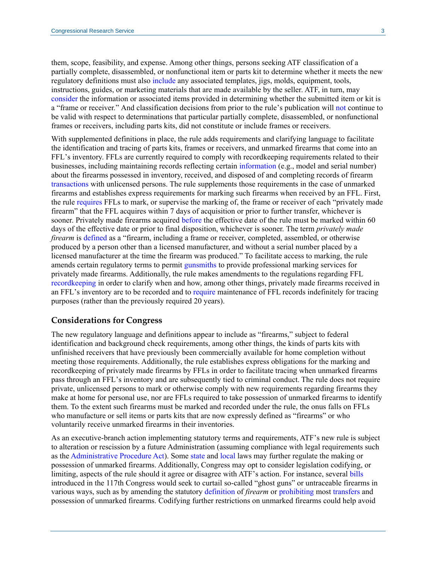them, scope, feasibility, and expense. Among other things, persons seeking ATF classification of a partially complete, disassembled, or nonfunctional item or parts kit to determine whether it meets the new regulatory definitions must also [include](https://www.atf.gov/firearms/docs/rulemaking/final-rule-2021r-05f-definition-frame-or-receiver-and-identification/download#page=343) any associated templates, jigs, molds, equipment, tools, instructions, guides, or marketing materials that are made available by the seller. ATF, in turn, may [consider](https://www.atf.gov/firearms/docs/rulemaking/final-rule-2021r-05f-definition-frame-or-receiver-and-identification/download#page=329) the information or associated items provided in determining whether the submitted item or kit is a "frame or receiver." And classification decisions from prior to the rule's publication will [not](https://www.atf.gov/firearms/docs/rulemaking/final-rule-2021r-05f-definition-frame-or-receiver-and-identification/download#page=333) continue to be valid with respect to determinations that particular partially complete, disassembled, or nonfunctional frames or receivers, including parts kits, did not constitute or include frames or receivers.

With supplemented definitions in place, the rule adds requirements and clarifying language to facilitate the identification and tracing of parts kits, frames or receivers, and unmarked firearms that come into an FFL's inventory. FFLs are currently required to comply with recordkeeping requirements related to their businesses, including maintaining records reflecting certain [information](https://www.ecfr.gov/current/title-27/chapter-II/subchapter-B/part-478/subpart-H/section-478.125) (e.g., model and serial number) about the firearms possessed in inventory, received, and disposed of and completing records of firearm [transactions](https://www.ecfr.gov/current/title-27/chapter-II/subchapter-B/part-478/subpart-H/section-478.124) with unlicensed persons. The rule supplements those requirements in the case of unmarked firearms and establishes express requirements for marking such firearms when received by an FFL. First, the rule [requires](https://www.atf.gov/firearms/docs/rulemaking/final-rule-2021r-05f-definition-frame-or-receiver-and-identification/download#page=338) FFLs to mark, or supervise the marking of, the frame or receiver of each "privately made firearm" that the FFL acquires within 7 days of acquisition or prior to further transfer, whichever is sooner. Privately made firearms acquired [before](https://www.atf.gov/firearms/docs/rulemaking/final-rule-2021r-05f-definition-frame-or-receiver-and-identification/download#page=342) the effective date of the rule must be marked within 60 days of the effective date or prior to final disposition, whichever is sooner. The term *privately made firearm* is [defined](https://www.atf.gov/firearms/docs/rulemaking/final-rule-2021r-05f-definition-frame-or-receiver-and-identification/download#page=323) as a "firearm, including a frame or receiver, completed, assembled, or otherwise produced by a person other than a licensed manufacturer, and without a serial number placed by a licensed manufacturer at the time the firearm was produced." To facilitate access to marking, the rule amends certain regulatory terms to permit [gunsmiths](https://www.atf.gov/firearms/docs/rulemaking/final-rule-2021r-05f-definition-frame-or-receiver-and-identification/download#page=321) to provide professional marking services for privately made firearms. Additionally, the rule makes amendments to the regulations regarding FFL [recordkeeping](https://www.atf.gov/firearms/docs/rulemaking/final-rule-2021r-05f-definition-frame-or-receiver-and-identification/download#page=344) in order to clarify when and how, among other things, privately made firearms received in an FFL's inventory are to be recorded and to [require](https://www.atf.gov/firearms/docs/rulemaking/final-rule-2021r-05f-definition-frame-or-receiver-and-identification/download#page=354) maintenance of FFL records indefinitely for tracing purposes (rather than the previously required 20 years).

#### **Considerations for Congress**

The new regulatory language and definitions appear to include as "firearms," subject to federal identification and background check requirements, among other things, the kinds of parts kits with unfinished receivers that have previously been commercially available for home completion without meeting those requirements. Additionally, the rule establishes express obligations for the marking and recordkeeping of privately made firearms by FFLs in order to facilitate tracing when unmarked firearms pass through an FFL's inventory and are subsequently tied to criminal conduct. The rule does not require private, unlicensed persons to mark or otherwise comply with new requirements regarding firearms they make at home for personal use, nor are FFLs required to take possession of unmarked firearms to identify them. To the extent such firearms must be marked and recorded under the rule, the onus falls on FFLs who manufacture or sell items or parts kits that are now expressly defined as "firearms" or who voluntarily receive unmarked firearms in their inventories.

As an executive-branch action implementing statutory terms and requirements, ATF's new rule is subject to alteration or rescission by a future Administration (assuming compliance with legal requirements such as th[e Administrative Procedure Act\)](https://crsreports.congress.gov/product/pdf/R/R46673). Some [state](https://apnews.com/article/business-california-gun-politics-san-francisco-police-reform-4247bd94aacc148e07b3a228d1d47bbf) and [local](https://www.npr.org/local/305/2021/09/10/1035881089/in-new-lawsuit-d-c-gun-advocates-take-aim-at-restrictions-on-ghost-guns) laws may further regulate the making or possession of unmarked firearms. Additionally, Congress may opt to consider legislation codifying, or limiting, aspects of the rule should it agree or disagree with ATF's action. For instance, several [bills](https://www.congress.gov/bill/117th-congress/house-bill/1454) introduced in the 117th Congress would seek to curtail so-called "ghost guns" or untraceable firearms in various ways, such as by amending the statutory [definition](https://www.congress.gov/bill/117th-congress/house-bill/6646/text?q=%7B%22search%22%3A%22TRACE%22%7D&r=9&s=2) of *firearm* or [prohibiting](https://www.congress.gov/bill/117th-congress/senate-bill/1558?q=%7B%22search%22%3A%22untraceable+firearms%22%7D&s=1&r=4) most [transfers](https://www.congress.gov/bill/117th-congress/house-bill/3088/text?q=%7B%22search%22%3A%22untraceable+firearms%22%7D&r=3&s=1) and possession of unmarked firearms. Codifying further restrictions on unmarked firearms could help avoid